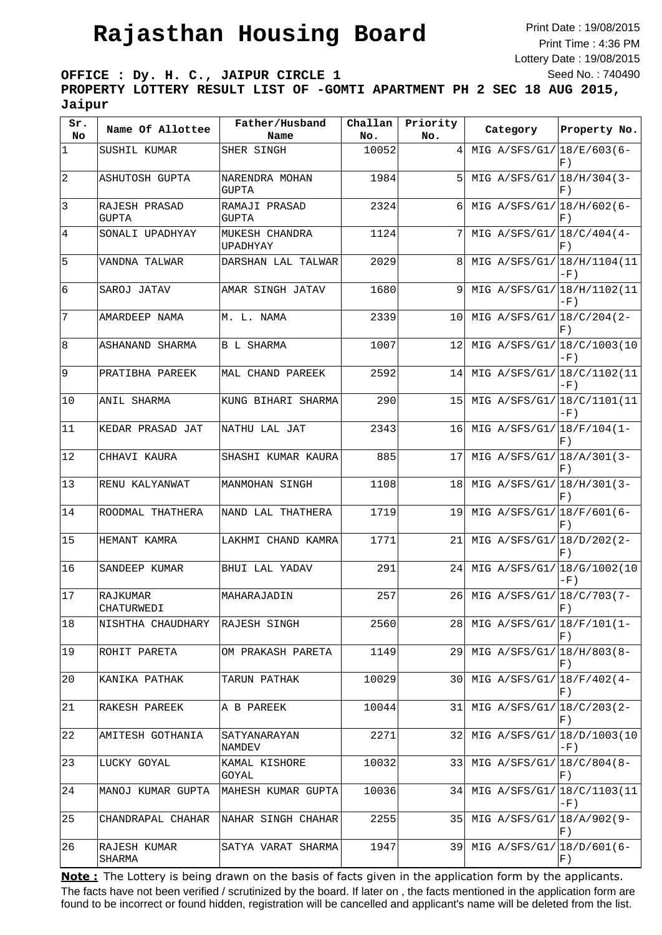Print Date : 19/08/2015 Print Time : 4:36 PM Lottery Date : 19/08/2015 Seed No. : 740490

**OFFICE : Dy. H. C., JAIPUR CIRCLE 1 PROPERTY LOTTERY RESULT LIST OF -GOMTI APARTMENT PH 2 SEC 18 AUG 2015, Jaipur**

| Sr.<br>No       | Name Of Allottee              | Father/Husband<br>Name         | Challan<br>No. | Priority<br>No. | Category                    | Property No.                  |
|-----------------|-------------------------------|--------------------------------|----------------|-----------------|-----------------------------|-------------------------------|
| $\mathbf 1$     | SUSHIL KUMAR                  | SHER SINGH                     | 10052          | 4               | MIG A/SFS/G1/ 18/E/603 (6-  | F)                            |
| $\overline{2}$  | <b>ASHUTOSH GUPTA</b>         | NARENDRA MOHAN<br><b>GUPTA</b> | 1984           | 5               | MIG $A/SFS/G1/18/H/304(3-$  | F)                            |
| 3               | RAJESH PRASAD<br><b>GUPTA</b> | RAMAJI PRASAD<br><b>GUPTA</b>  | 2324           | 6               | MIG A/SFS/G1/ 18/H/602(6-   | F)                            |
| $\overline{4}$  | SONALI UPADHYAY               | MUKESH CHANDRA<br>UPADHYAY     | 1124           | 7               | MIG $A/SFS/G1/18/C/404(4-$  | F)                            |
| 5               | VANDNA TALWAR                 | DARSHAN LAL TALWAR             | 2029           | 8               | MIG A/SFS/G1/ 18/H/1104(11  | $-F)$                         |
| $6\overline{6}$ | SAROJ JATAV                   | AMAR SINGH JATAV               | 1680           | 9               | MIG A/SFS/G1/ 18/H/1102(11  | $-F)$                         |
| 7               | AMARDEEP NAMA                 | M. L. NAMA                     | 2339           | 10              | MIG A/SFS/G1/ 18/C/204 (2-  | F)                            |
| 8               | ASHANAND SHARMA               | <b>B L SHARMA</b>              | 1007           | 12              | MIG A/SFS/G1/ 18/C/1003(10  | $-F)$                         |
| 9               | PRATIBHA PAREEK               | MAL CHAND PAREEK               | 2592           | 14              | MIG A/SFS/G1/ 18/C/1102(11  | $-F)$                         |
| 10              | <b>ANIL SHARMA</b>            | KUNG BIHARI SHARMA             | 290            | 15              | MIG A/SFS/G1/ 18/C/1101 (11 | $-F)$                         |
| 11              | KEDAR PRASAD JAT              | NATHU LAL JAT                  | 2343           | 16              | MIG A/SFS/G1/ 18/F/104(1-   | F)                            |
| 12              | CHHAVI KAURA                  | SHASHI KUMAR KAURA             | 885            | 17              | MIG A/SFS/G1/ 18/A/301 (3-  | F)                            |
| 13              | RENU KALYANWAT                | MANMOHAN SINGH                 | 1108           | 18              | MIG A/SFS/G1/ 18/H/301 (3-  | F)                            |
| 14              | ROODMAL THATHERA              | NAND LAL THATHERA              | 1719           | 19              | MIG A/SFS/G1/ 18/F/601 (6-  | F)                            |
| 15              | HEMANT KAMRA                  | LAKHMI CHAND KAMRA             | 1771           | 21              | MIG A/SFS/G1/ 18/D/202(2-   | F)                            |
| 16              | SANDEEP KUMAR                 | BHUI LAL YADAV                 | 291            | 24              | MIG A/SFS/G1/ 18/G/1002(10  | $-F)$                         |
| 17              | RAJKUMAR<br>CHATURWEDI        | MAHARAJADIN                    | 257            | 26              | MIG A/SFS/G1/ 18/C/703 (7-  | F                             |
| 18              | NISHTHA CHAUDHARY             | RAJESH SINGH                   | 2560           | 281             | MIG A/SFS/G1/ 18/F/101 (1-  | F)                            |
| 19              | ROHIT PARETA                  | OM PRAKASH PARETA              | 1149           | 29              | MIG A/SFS/G1/ 18/H/803(8-   | F)                            |
| 20              | KANIKA PATHAK                 | TARUN PATHAK                   | 10029          | 30              | MIG A/SFS/G1/ $18/F/402(4-$ | F)                            |
| 21              | RAKESH PAREEK                 | A B PAREEK                     | 10044          | 31              | MIG A/SFS/G1/ 18/C/203(2-   | F)                            |
| 22              | AMITESH GOTHANIA              | SATYANARAYAN<br>NAMDEV         | 2271           | 32              | MIG A/SFS/G1/ 18/D/1003(10  | $-F)$                         |
| 23              | LUCKY GOYAL                   | KAMAL KISHORE<br>GOYAL         | 10032          | 33              | MIG A/SFS/G1/18/C/804(8-    | F)                            |
| 24              | MANOJ KUMAR GUPTA             | MAHESH KUMAR GUPTA             | 10036          | 34              | MIG A/SFS/G1/ 18/C/1103 (11 | $-F)$                         |
| 25              | CHANDRAPAL CHAHAR             | NAHAR SINGH CHAHAR             | 2255           | 35              | MIG A/SFS/G1/ 18/A/902(9-   | $\left  \mathrm{F} \right.$ ) |
| 26              | RAJESH KUMAR<br>SHARMA        | SATYA VARAT SHARMA             | 1947           | 39              | MIG A/SFS/G1/ 18/D/601 (6-  | F)                            |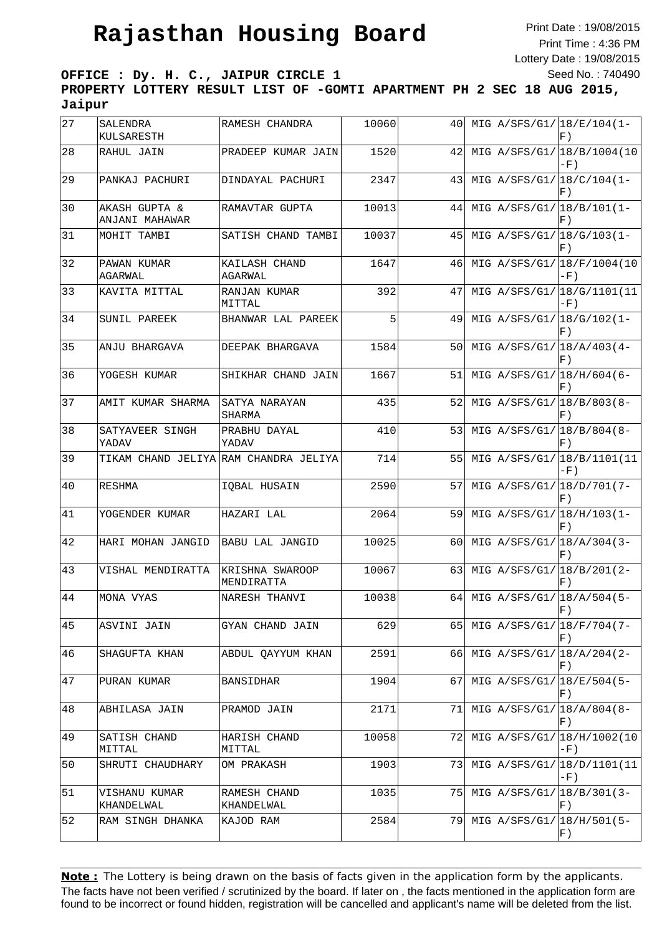Print Date : 19/08/2015 Print Time : 4:36 PM Lottery Date : 19/08/2015 Seed No. : 740490

**OFFICE : Dy. H. C., JAIPUR CIRCLE 1 PROPERTY LOTTERY RESULT LIST OF -GOMTI APARTMENT PH 2 SEC 18 AUG 2015, Jaipur**

| 27 | <b>SALENDRA</b><br>KULSARESTH   | RAMESH CHANDRA                        | 10060 | 40  |  | MIG A/SFS/G1/ 18/E/104(1-<br>F)                             |
|----|---------------------------------|---------------------------------------|-------|-----|--|-------------------------------------------------------------|
| 28 | RAHUL JAIN                      | PRADEEP KUMAR JAIN                    | 1520  | 42  |  | MIG A/SFS/G1/ 18/B/1004(10<br>$-F)$                         |
| 29 | PANKAJ PACHURI                  | DINDAYAL PACHURI                      | 2347  | 43  |  | MIG A/SFS/G1/ 18/C/104(1-<br>F)                             |
| 30 | AKASH GUPTA &<br>ANJANI MAHAWAR | RAMAVTAR GUPTA                        | 10013 | 44  |  | MIG A/SFS/G1/ 18/B/101 (1-<br>F)                            |
| 31 | MOHIT TAMBI                     | SATISH CHAND TAMBI                    | 10037 | 45  |  | MIG A/SFS/G1/ 18/G/103 (1-<br>F)                            |
| 32 | PAWAN KUMAR<br>AGARWAL          | KAILASH CHAND<br>AGARWAL              | 1647  | 46  |  | MIG A/SFS/G1/ 18/F/1004(10<br>$-F)$                         |
| 33 | KAVITA MITTAL                   | RANJAN KUMAR<br>MITTAL                | 392   | 47  |  | MIG A/SFS/G1/ 18/G/1101 (11<br>$-F)$                        |
| 34 | SUNIL PAREEK                    | BHANWAR LAL PAREEK                    | 5     | 49  |  | MIG A/SFS/G1/ 18/G/102(1-<br>F)                             |
| 35 | ANJU BHARGAVA                   | DEEPAK BHARGAVA                       | 1584  | 50  |  | MIG A/SFS/G1/ 18/A/403 (4-<br>F)                            |
| 36 | YOGESH KUMAR                    | SHIKHAR CHAND JAIN                    | 1667  | 51  |  | MIG A/SFS/G1/ 18/H/604 (6-<br>F)                            |
| 37 | AMIT KUMAR SHARMA               | SATYA NARAYAN<br>SHARMA               | 435   | 52  |  | MIG A/SFS/G1/ 18/B/803(8-<br>F)                             |
| 38 | SATYAVEER SINGH<br>YADAV        | PRABHU DAYAL<br>YADAV                 | 410   | 53  |  | MIG A/SFS/G1/ 18/B/804 (8-<br>F)                            |
| 39 |                                 | TIKAM CHAND JELIYA RAM CHANDRA JELIYA | 714   | 55  |  | MIG A/SFS/G1/ 18/B/1101 (11<br>$-F)$                        |
| 40 | RESHMA                          | IQBAL HUSAIN                          | 2590  | 57  |  | MIG A/SFS/G1/ 18/D/701 (7-<br>F)                            |
| 41 | YOGENDER KUMAR                  | HAZARI LAL                            | 2064  | 59  |  | MIG A/SFS/G1/ 18/H/103(1-<br>F)                             |
| 42 | HARI MOHAN JANGID               | <b>BABU LAL JANGID</b>                | 10025 | 60  |  | MIG A/SFS/G1/ 18/A/304 (3-<br>F)                            |
| 43 | VISHAL MENDIRATTA               | KRISHNA SWAROOP<br>MENDIRATTA         | 10067 | 63  |  | MIG A/SFS/G1/ 18/B/201 (2-<br>F)                            |
| 44 | MONA VYAS                       | NARESH THANVI                         | 10038 | 64  |  | MIG A/SFS/G1/ 18/A/504 (5-<br>$\vert \text{F}$ )            |
| 45 | ASVINI JAIN                     | GYAN CHAND JAIN                       | 629   | 65  |  | MIG A/SFS/G1/ $ 18/F/704(7-$<br>F)                          |
| 46 | SHAGUFTA KHAN                   | ABDUL QAYYUM KHAN                     | 2591  | 66  |  | MIG $A/SFS/G1/18/A/204(2-$<br>F)                            |
| 47 | PURAN KUMAR                     | BANSIDHAR                             | 1904  | 67  |  | MIG A/SFS/G1/ 18/E/504 (5-<br>$\left  \mathrm{F} \right.$ ) |
| 48 | ABHILASA JAIN                   | PRAMOD JAIN                           | 2171  | 71  |  | MIG A/SFS/G1/ 18/A/804 (8-<br>F)                            |
| 49 | SATISH CHAND<br>MITTAL          | HARISH CHAND<br>MITTAL                | 10058 | 721 |  | MIG A/SFS/G1/ 18/H/1002(10<br>-F)                           |
| 50 | SHRUTI CHAUDHARY                | OM PRAKASH                            | 1903  | 73  |  | MIG A/SFS/G1/ 18/D/1101 (11<br>-F)                          |
| 51 | VISHANU KUMAR<br>KHANDELWAL     | RAMESH CHAND<br>KHANDELWAL            | 1035  | 75  |  | MIG A/SFS/G1/ 18/B/301 (3-<br>F)                            |
| 52 | RAM SINGH DHANKA                | KAJOD RAM                             | 2584  | 791 |  | MIG A/SFS/G1/ 18/H/501 (5-<br>F)                            |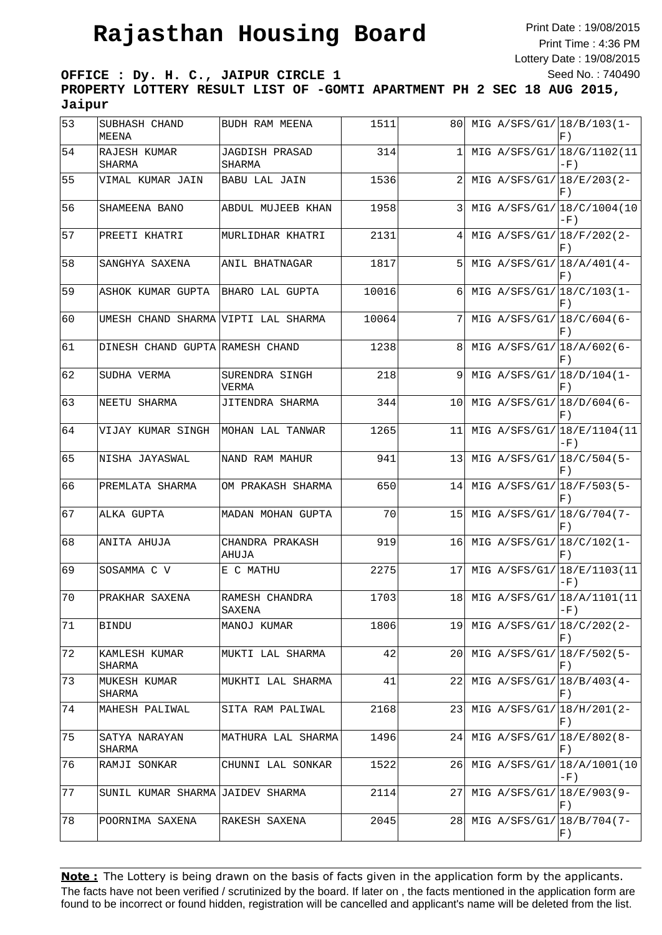Print Date : 19/08/2015 Print Time : 4:36 PM Lottery Date : 19/08/2015 Seed No. : 740490

**OFFICE : Dy. H. C., JAIPUR CIRCLE 1 PROPERTY LOTTERY RESULT LIST OF -GOMTI APARTMENT PH 2 SEC 18 AUG 2015, Jaipur**

| 53 | SUBHASH CHAND<br>MEENA              | BUDH RAM MEENA                  | 1511  | 80              |               | MIG A/SFS/G1/ $18/B/103(1-$<br>$F$ ) |
|----|-------------------------------------|---------------------------------|-------|-----------------|---------------|--------------------------------------|
| 54 | RAJESH KUMAR<br>SHARMA              | <b>JAGDISH PRASAD</b><br>SHARMA | 314   | $\mathbf{1}$    |               | MIG A/SFS/G1/ 18/G/1102(11<br>$-F)$  |
| 55 | VIMAL KUMAR JAIN                    | BABU LAL JAIN                   | 1536  | 2               |               | MIG A/SFS/G1/ 18/E/203(2-<br>F)      |
| 56 | SHAMEENA BANO                       | ABDUL MUJEEB KHAN               | 1958  | $\overline{3}$  |               | MIG A/SFS/G1/ 18/C/1004(10<br>$-F)$  |
| 57 | PREETI KHATRI                       | MURLIDHAR KHATRI                | 2131  | 4               |               | MIG A/SFS/G1/ 18/F/202(2-<br>F)      |
| 58 | SANGHYA SAXENA                      | ANIL BHATNAGAR                  | 1817  | 5 <sup>1</sup>  |               | MIG A/SFS/G1/ 18/A/401 (4-<br>F)     |
| 59 | ASHOK KUMAR GUPTA                   | BHARO LAL GUPTA                 | 10016 | 6               |               | MIG A/SFS/G1/ 18/C/103 (1-<br>$F$ )  |
| 60 | UMESH CHAND SHARMA VIPTI LAL SHARMA |                                 | 10064 | 7               |               | MIG A/SFS/G1/ 18/C/604 (6-<br>F)     |
| 61 | DINESH CHAND GUPTA RAMESH CHAND     |                                 | 1238  | 8 <sup>1</sup>  |               | MIG A/SFS/G1/ 18/A/602(6-<br>F)      |
| 62 | SUDHA VERMA                         | SURENDRA SINGH<br>VERMA         | 218   | 9               |               | MIG A/SFS/G1/ 18/D/104 (1-<br>F)     |
| 63 | NEETU SHARMA                        | JITENDRA SHARMA                 | 344   | 10 <sub>l</sub> |               | MIG A/SFS/G1/ 18/D/604 (6-<br>F)     |
| 64 | VIJAY KUMAR SINGH                   | MOHAN LAL TANWAR                | 1265  | 11              |               | MIG A/SFS/G1/ 18/E/1104(11<br>$-F)$  |
| 65 | NISHA JAYASWAL                      | NAND RAM MAHUR                  | 941   | 13              |               | MIG A/SFS/G1/ 18/C/504 (5-<br>F)     |
| 66 | PREMLATA SHARMA                     | OM PRAKASH SHARMA               | 650   | 14I             |               | MIG A/SFS/G1/ 18/F/503 (5-<br>F)     |
| 67 | ALKA GUPTA                          | MADAN MOHAN GUPTA               | 70    | 15              |               | MIG A/SFS/G1/ 18/G/704 (7-<br>F)     |
| 68 | ANITA AHUJA                         | CHANDRA PRAKASH<br>AHUJA        | 919   | 16              |               | MIG A/SFS/G1/ 18/C/102(1-<br>F)      |
| 69 | SOSAMMA C V                         | E C MATHU                       | 2275  | 17              |               | MIG A/SFS/G1/ 18/E/1103(11<br>$-F)$  |
| 70 | PRAKHAR SAXENA                      | RAMESH CHANDRA<br>SAXENA        | 1703  | 18              |               | MIG A/SFS/G1/ 18/A/1101 (11<br>$-F)$ |
| 71 | BINDU                               | MANOJ KUMAR                     | 1806  | 19              |               | MIG A/SFS/G1/ 18/C/202(2-<br>F)      |
| 72 | KAMLESH KUMAR<br>SHARMA             | MUKTI LAL SHARMA                | 42    | 20 <sub>l</sub> |               | MIG A/SFS/G1/ 18/F/502(5-<br>$F$ )   |
| 73 | MUKESH KUMAR<br>SHARMA              | MUKHTI LAL SHARMA               | 41    | 22              | MIG A/SFS/G1/ | $\sqrt{(18/B/403(4-$<br>F)           |
| 74 | MAHESH PALIWAL                      | SITA RAM PALIWAL                | 2168  | 23              |               | MIG A/SFS/G1/ 18/H/201 (2-<br>F)     |
| 75 | SATYA NARAYAN<br>SHARMA             | MATHURA LAL SHARMA              | 1496  | 24              | MIG A/SFS/G1/ | $18/E/802(8-$<br>$F$ )               |
| 76 | RAMJI SONKAR                        | CHUNNI LAL SONKAR               | 1522  | 261             |               | MIG A/SFS/G1/ 18/A/1001 (10<br>-F)   |
| 77 | SUNIL KUMAR SHARMA JAIDEV SHARMA    |                                 | 2114  | 27              |               | MIG A/SFS/G1/18/E/903(9-<br>F)       |
| 78 | POORNIMA SAXENA                     | RAKESH SAXENA                   | 2045  | 28              | MIG A/SFS/G1/ | $18/B/704(7-$<br>$F$ )               |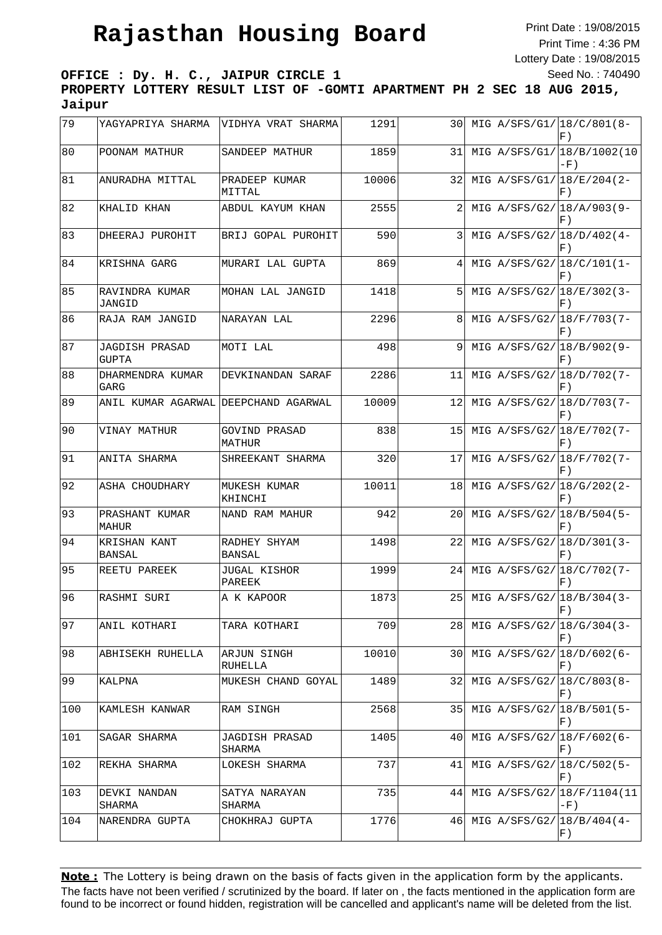Print Date : 19/08/2015 Print Time : 4:36 PM Lottery Date : 19/08/2015 Seed No. : 740490

**OFFICE : Dy. H. C., JAIPUR CIRCLE 1 PROPERTY LOTTERY RESULT LIST OF -GOMTI APARTMENT PH 2 SEC 18 AUG 2015, Jaipur**

| 79  | YAGYAPRIYA SHARMA                     | VIDHYA VRAT SHARMA       | 1291  | 30  |  | MIG A/SFS/G1/ 18/C/801 (8-<br>F)                            |
|-----|---------------------------------------|--------------------------|-------|-----|--|-------------------------------------------------------------|
| 80  | POONAM MATHUR                         | SANDEEP MATHUR           | 1859  | 31  |  | MIG A/SFS/G1/ 18/B/1002(10<br>$-F)$                         |
| 81  | ANURADHA MITTAL                       | PRADEEP KUMAR<br>MITTAL  | 10006 | 32  |  | MIG A/SFS/G1/ 18/E/204 (2-<br>F)                            |
| 82  | KHALID KHAN                           | ABDUL KAYUM KHAN         | 2555  | 2   |  | MIG A/SFS/G2/ 18/A/903 (9-<br>F)                            |
| 83  | DHEERAJ PUROHIT                       | BRIJ GOPAL PUROHIT       | 590   | 3   |  | MIG A/SFS/G2/ 18/D/402(4-<br>F)                             |
| 84  | KRISHNA GARG                          | MURARI LAL GUPTA         | 869   | 4   |  | MIG A/SFS/G2/ 18/C/101 (1-<br>$\left  \mathrm{F} \right.$ ) |
| 85  | RAVINDRA KUMAR<br>JANGID              | MOHAN LAL JANGID         | 1418  | 5   |  | MIG A/SFS/G2/ 18/E/302(3-<br>F)                             |
| 86  | RAJA RAM JANGID                       | NARAYAN LAL              | 2296  | 8   |  | MIG A/SFS/G2/ 18/F/703(7-<br>F)                             |
| 87  | <b>JAGDISH PRASAD</b><br><b>GUPTA</b> | MOTI LAL                 | 498   | 9   |  | MIG A/SFS/G2/ 18/B/902(9-<br>F)                             |
| 88  | DHARMENDRA KUMAR<br>GARG              | DEVKINANDAN SARAF        | 2286  | 11  |  | MIG A/SFS/G2/ 18/D/702(7-<br>$F$ )                          |
| 89  | ANIL KUMAR AGARWAL                    | DEEPCHAND AGARWAL        | 10009 | 12  |  | MIG A/SFS/G2/ 18/D/703(7-<br>F)                             |
| 90  | VINAY MATHUR                          | GOVIND PRASAD<br>MATHUR  | 838   | 15  |  | MIG A/SFS/G2/ 18/E/702(7-<br>F)                             |
| 91  | ANITA SHARMA                          | SHREEKANT SHARMA         | 320   | 17  |  | MIG A/SFS/G2/ 18/F/702(7-<br>F)                             |
| 92  | ASHA CHOUDHARY                        | MUKESH KUMAR<br>KHINCHI  | 10011 | 18  |  | MIG A/SFS/G2/ 18/G/202(2-<br>F)                             |
| 93  | PRASHANT KUMAR<br>MAHUR               | NAND RAM MAHUR           | 942   | 20  |  | MIG A/SFS/G2/ 18/B/504 (5-<br>F)                            |
| 94  | KRISHAN KANT<br><b>BANSAL</b>         | RADHEY SHYAM<br>BANSAL   | 1498  | 22  |  | MIG A/SFS/G2/18/D/301(3-<br>F)                              |
| 95  | REETU PAREEK                          | JUGAL KISHOR<br>PAREEK   | 1999  | 24  |  | MIG A/SFS/G2/18/C/702(7-<br>F)                              |
| 96  | RASHMI SURI                           | A K KAPOOR               | 1873  | 25  |  | MIG A/SFS/G2/ 18/B/304 (3-<br>$F$ )                         |
| 97  | ANIL KOTHARI                          | TARA KOTHARI             | 709   | 281 |  | MIG A/SFS/G2/18/G/304(3-<br>F)                              |
| 98  | ABHISEKH RUHELLA                      | ARJUN SINGH<br>RUHELLA   | 10010 |     |  | 30 MIG A/SFS/G2/ 18/D/602(6-<br>F)                          |
| 99  | KALPNA                                | MUKESH CHAND GOYAL       | 1489  | 321 |  | MIG A/SFS/G2/18/C/803(8-<br>F)                              |
| 100 | KAMLESH KANWAR                        | RAM SINGH                | 2568  | 351 |  | MIG A/SFS/G2/ 18/B/501 (5-<br>F)                            |
| 101 | SAGAR SHARMA                          | JAGDISH PRASAD<br>SHARMA | 1405  | 40  |  | MIG A/SFS/G2/ 18/F/602(6-<br>F)                             |
| 102 | REKHA SHARMA                          | LOKESH SHARMA            | 737   | 411 |  | MIG A/SFS/G2/ 18/C/502 (5-<br>F)                            |
| 103 | DEVKI NANDAN<br>SHARMA                | SATYA NARAYAN<br>SHARMA  | 735   |     |  | 44 MIG A/SFS/G2/ 18/F/1104 (11<br>$-F)$                     |
| 104 | NARENDRA GUPTA                        | CHOKHRAJ GUPTA           | 1776  |     |  | 46 MIG A/SFS/G2/ 18/B/404 (4-<br>F)                         |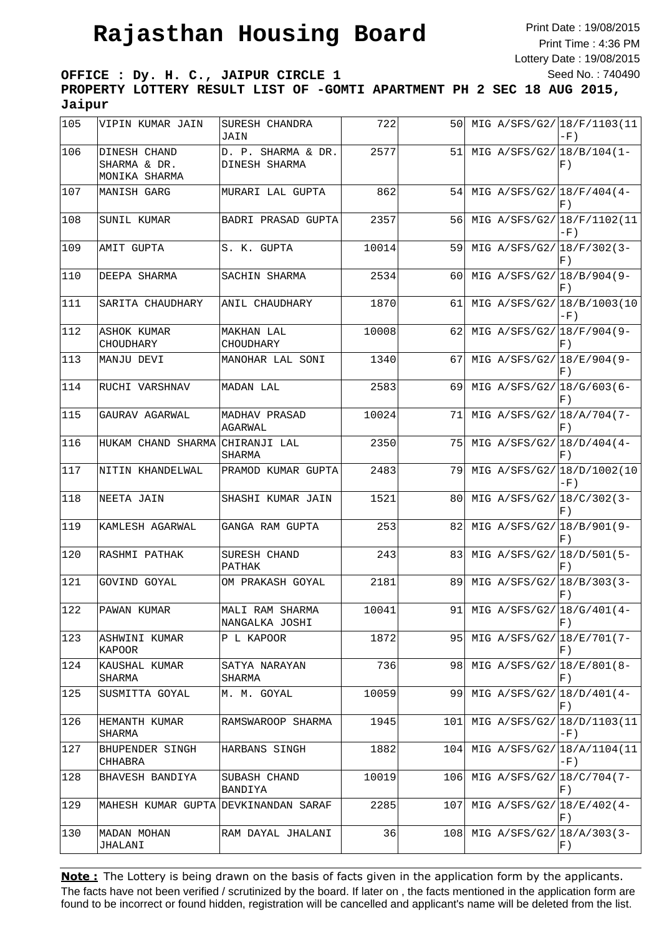Print Date : 19/08/2015 Print Time : 4:36 PM Lottery Date : 19/08/2015 Seed No. : 740490

**OFFICE : Dy. H. C., JAIPUR CIRCLE 1 PROPERTY LOTTERY RESULT LIST OF -GOMTI APARTMENT PH 2 SEC 18 AUG 2015, Jaipur**

| 105 | VIPIN KUMAR JAIN                              | SURESH CHANDRA<br>JAIN              | 722   | 50  |  | MIG A/SFS/G2/ 18/F/1103(11)<br>$-F)$                        |
|-----|-----------------------------------------------|-------------------------------------|-------|-----|--|-------------------------------------------------------------|
| 106 | DINESH CHAND<br>SHARMA & DR.<br>MONIKA SHARMA | D. P. SHARMA & DR.<br>DINESH SHARMA | 2577  | 51  |  | MIG A/SFS/G2/ 18/B/104 (1-<br>F)                            |
| 107 | MANISH GARG                                   | MURARI LAL GUPTA                    | 862   | 54  |  | MIG A/SFS/G2/18/F/404(4-<br>F)                              |
| 108 | SUNIL KUMAR                                   | BADRI PRASAD GUPTA                  | 2357  | 56  |  | MIG A/SFS/G2/ 18/F/1102(11<br>$-F)$                         |
| 109 | AMIT GUPTA                                    | S. K. GUPTA                         | 10014 | 59  |  | MIG A/SFS/G2/ $18/F/302(3-$<br>F)                           |
| 110 | DEEPA SHARMA                                  | SACHIN SHARMA                       | 2534  | 60  |  | MIG A/SFS/G2/ 18/B/904 (9-<br>F)                            |
| 111 | SARITA CHAUDHARY                              | ANIL CHAUDHARY                      | 1870  | 61  |  | MIG A/SFS/G2/ 18/B/1003(10<br>$-F)$                         |
| 112 | ASHOK KUMAR<br>CHOUDHARY                      | MAKHAN LAL<br>CHOUDHARY             | 10008 | 62  |  | MIG A/SFS/G2/ 18/F/904 (9-<br>F)                            |
| 113 | MANJU DEVI                                    | MANOHAR LAL SONI                    | 1340  | 67  |  | MIG A/SFS/G2/ 18/E/904 (9-<br>F)                            |
| 114 | RUCHI VARSHNAV                                | MADAN LAL                           | 2583  | 69  |  | MIG A/SFS/G2/ 18/G/603 (6-<br>F)                            |
| 115 | GAURAV AGARWAL                                | MADHAV PRASAD<br>AGARWAL            | 10024 | 71  |  | MIG A/SFS/G2/ 18/A/704 (7-<br>F)                            |
| 116 | HUKAM CHAND SHARMA                            | CHIRANJI LAL<br>SHARMA              | 2350  | 75  |  | MIG A/SFS/G2/ 18/D/404 (4-<br>F)                            |
| 117 | NITIN KHANDELWAL                              | PRAMOD KUMAR GUPTA                  | 2483  | 79  |  | MIG A/SFS/G2/ 18/D/1002(10<br>-F)                           |
| 118 | NEETA JAIN                                    | SHASHI KUMAR JAIN                   | 1521  | 80  |  | MIG A/SFS/G2/ 18/C/302(3-<br>F)                             |
| 119 | KAMLESH AGARWAL                               | GANGA RAM GUPTA                     | 253   | 82  |  | MIG A/SFS/G2/ 18/B/901 (9-<br>F)                            |
| 120 | RASHMI PATHAK                                 | SURESH CHAND<br>PATHAK              | 243   | 83  |  | MIG A/SFS/G2/ 18/D/501 (5-<br>F)                            |
| 121 | GOVIND GOYAL                                  | OM PRAKASH GOYAL                    | 2181  | 89  |  | MIG A/SFS/G2/ 18/B/303(3-<br>$\left  \mathrm{F} \right.$ )  |
| 122 | PAWAN KUMAR                                   | MALI RAM SHARMA<br>NANGALKA JOSHI   | 10041 | 911 |  | MIG A/SFS/G2/ 18/G/401 (4-<br> F)                           |
| 123 | ASHWINI KUMAR<br>KAPOOR                       | P L KAPOOR                          | 1872  | 95  |  | MIG A/SFS/G2/ $18/E/701(7-$<br>F)                           |
| 124 | KAUSHAL KUMAR<br>SHARMA                       | SATYA NARAYAN<br>SHARMA             | 736   | 98  |  | MIG A/SFS/G2/ 18/E/801 (8-<br>F)                            |
| 125 | SUSMITTA GOYAL                                | M. M. GOYAL                         | 10059 | 99  |  | MIG A/SFS/G2/ 18/D/401 (4-<br>$\left  \mathrm{F} \right.$ ) |
| 126 | HEMANTH KUMAR<br>SHARMA                       | RAMSWAROOP SHARMA                   | 1945  | 101 |  | MIG A/SFS/G2/ 18/D/1103(11<br>$-F)$                         |
| 127 | BHUPENDER SINGH<br>CHHABRA                    | HARBANS SINGH                       | 1882  | 104 |  | MIG A/SFS/G2/ 18/A/1104 (11<br>$-F)$                        |
| 128 | BHAVESH BANDIYA                               | SUBASH CHAND<br>BANDIYA             | 10019 | 106 |  | MIG A/SFS/G2/ 18/C/704 (7-<br>F)                            |
| 129 | MAHESH KUMAR GUPTA                            | DEVKINANDAN SARAF                   | 2285  | 107 |  | MIG A/SFS/G2/18/E/402(4-<br>$\vert$ F)                      |
| 130 | MADAN MOHAN<br>JHALANI                        | RAM DAYAL JHALANI                   | 36    | 108 |  | MIG A/SFS/G2/ 18/A/303 (3-<br>$\vert$ F)                    |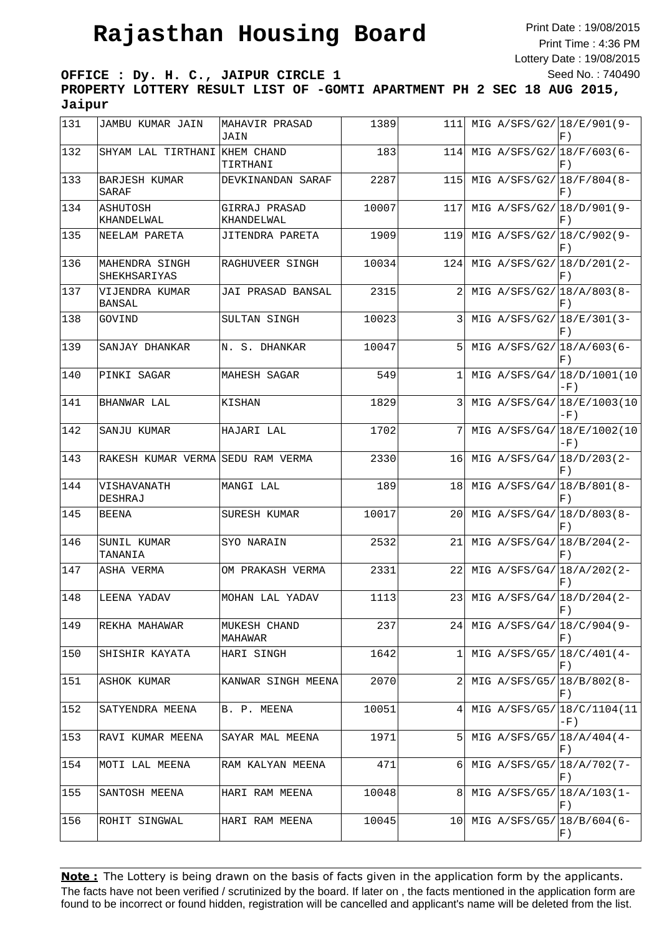Print Date : 19/08/2015 Print Time : 4:36 PM Lottery Date : 19/08/2015 Seed No. : 740490

**OFFICE : Dy. H. C., JAIPUR CIRCLE 1 PROPERTY LOTTERY RESULT LIST OF -GOMTI APARTMENT PH 2 SEC 18 AUG 2015, Jaipur**

| 131           | JAMBU KUMAR JAIN                | MAHAVIR PRASAD<br>JAIN      | 1389  | 111 |  | MIG A/SFS/G2/ 18/E/901 (9-<br>F)               |
|---------------|---------------------------------|-----------------------------|-------|-----|--|------------------------------------------------|
| 132           | SHYAM LAL TIRTHANI KHEM CHAND   | TIRTHANI                    | 183   | 114 |  | MIG A/SFS/G2/ 18/F/603(6-<br>F)                |
| 133           | <b>BARJESH KUMAR</b><br>SARAF   | DEVKINANDAN SARAF           | 2287  | 115 |  | MIG A/SFS/G2/ 18/F/804(8-<br>F)                |
| 134           | ASHUTOSH<br>KHANDELWAL          | GIRRAJ PRASAD<br>KHANDELWAL | 10007 | 117 |  | MIG A/SFS/G2/18/D/901(9-<br>F)                 |
| 135           | NEELAM PARETA                   | JITENDRA PARETA             | 1909  | 119 |  | MIG A/SFS/G2/ 18/C/902(9-<br>F)                |
| 136           | MAHENDRA SINGH<br>SHEKHSARIYAS  | RAGHUVEER SINGH             | 10034 | 124 |  | MIG A/SFS/G2/ 18/D/201(2-<br>F)                |
| 137           | VIJENDRA KUMAR<br><b>BANSAL</b> | JAI PRASAD BANSAL           | 2315  | 2   |  | MIG A/SFS/G2/ 18/A/803 (8-<br>F)               |
| 138           | GOVIND                          | SULTAN SINGH                | 10023 | 3   |  | MIG A/SFS/G2/ 18/E/301 (3-<br>F)               |
| 139           | SANJAY DHANKAR                  | N. S. DHANKAR               | 10047 | 5   |  | MIG A/SFS/G2/ 18/A/603(6-<br>F)                |
| 140           | PINKI SAGAR                     | MAHESH SAGAR                | 549   | 1   |  | MIG A/SFS/G4/ 18/D/1001 (10<br>-F)             |
| 141           | BHANWAR LAL                     | KISHAN                      | 1829  | 3   |  | MIG A/SFS/G4/ 18/E/1003(10<br>$-F)$            |
| 142           | SANJU KUMAR                     | HAJARI LAL                  | 1702  | 7   |  | MIG A/SFS/G4/ 18/E/1002(10<br>$-F)$            |
| 143           | RAKESH KUMAR VERMA              | SEDU RAM VERMA              | 2330  | 16  |  | MIG A/SFS/G4/ 18/D/203 (2-<br>F)               |
| 144           | VISHAVANATH<br>DESHRAJ          | MANGI LAL                   | 189   | 18  |  | MIG A/SFS/G4/ 18/B/801 (8-<br>F)               |
| 145           | BEENA                           | SURESH KUMAR                | 10017 | 20  |  | MIG A/SFS/G4/ 18/D/803 (8-<br>F)               |
| 146           | SUNIL KUMAR<br>TANANIA          | SYO NARAIN                  | 2532  | 21  |  | MIG A/SFS/G4/ 18/B/204(2-<br>F)                |
| 147           | <b>ASHA VERMA</b>               | OM PRAKASH VERMA            | 2331  | 22  |  | MIG A/SFS/G4/ 18/A/202(2-<br>F)                |
| 148           | LEENA YADAV                     | MOHAN LAL YADAV             | 1113  | 23  |  | MIG A/SFS/G4/ 18/D/204(2-<br>$\vert F \rangle$ |
| 149           | REKHA MAHAWAR                   | MUKESH CHAND<br>MAHAWAR     | 237   | 241 |  | MIG A/SFS/G4/ 18/C/904 (9-<br>F)               |
| 150           | SHISHIR KAYATA                  | HARI SINGH                  | 1642  | 1   |  | MIG A/SFS/G5/ 18/C/401 (4-<br>F)               |
| 151           | ASHOK KUMAR                     | KANWAR SINGH MEENA          | 2070  |     |  | MIG A/SFS/G5/18/B/802(8-<br>$F$ )              |
| 152           | SATYENDRA MEENA                 | B. P. MEENA                 | 10051 | 4   |  | MIG A/SFS/G5/ 18/C/1104 (11<br>$-F)$           |
| $ 153\rangle$ | RAVI KUMAR MEENA                | SAYAR MAL MEENA             | 1971  | 5   |  | MIG A/SFS/G5/ $18/A/404(4-$<br>F)              |
| 154           | MOTI LAL MEENA                  | RAM KALYAN MEENA            | 471   | 6   |  | MIG A/SFS/G5/ 18/A/702(7-<br>F)                |
| 155           | SANTOSH MEENA                   | HARI RAM MEENA              | 10048 | 81  |  | MIG A/SFS/G5/ 18/A/103(1-<br>F)                |
| 156           | ROHIT SINGWAL                   | HARI RAM MEENA              | 10045 | 10  |  | MIG A/SFS/G5/ 18/B/604 (6-<br>F)               |
|               |                                 |                             |       |     |  |                                                |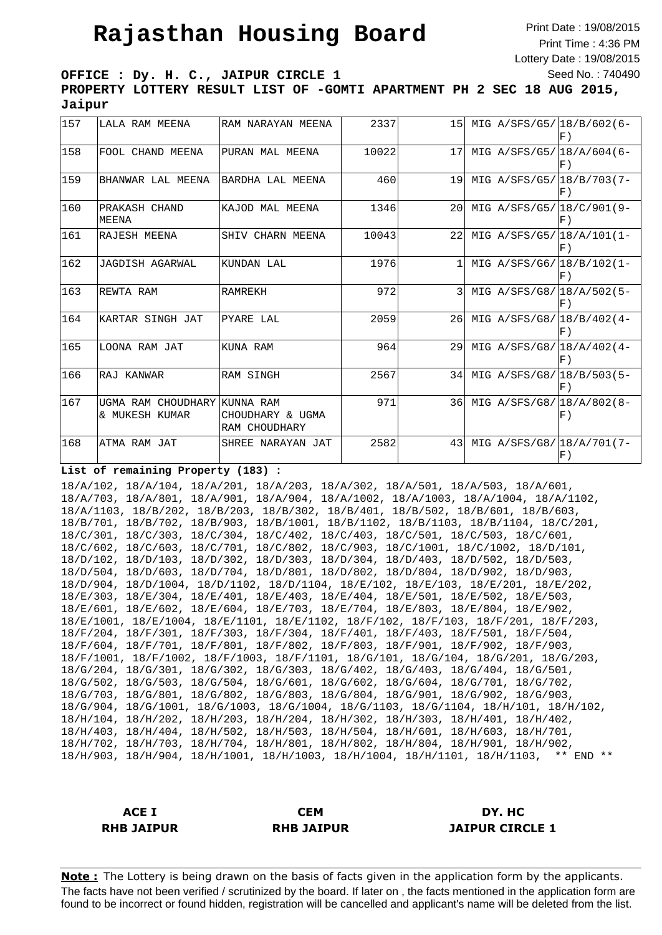Print Date : 19/08/2015 Print Time : 4:36 PM Lottery Date : 19/08/2015 Seed No. : 740490

**OFFICE : Dy. H. C., JAIPUR CIRCLE 1 PROPERTY LOTTERY RESULT LIST OF -GOMTI APARTMENT PH 2 SEC 18 AUG 2015, Jaipur**

| 157 | LALA RAM MEENA                       | RAM NARAYAN MEENA                              | 2337  | 15           |  | MIG A/SFS/G5/18/B/602(6-<br>$F$ )                         |
|-----|--------------------------------------|------------------------------------------------|-------|--------------|--|-----------------------------------------------------------|
| 158 | FOOL CHAND MEENA                     | PURAN MAL MEENA                                | 10022 | 17           |  | MIG A/SFS/G5/118/A/604(6-<br>$F$ )                        |
| 159 | BHANWAR LAL MEENA                    | BARDHA LAL MEENA                               | 460   | 19           |  | MIG A/SFS/G5/118/B/703(7-<br>$\vert F \rangle$            |
| 160 | PRAKASH CHAND<br>MEENA               | KAJOD MAL MEENA                                | 1346  | 20           |  | MIG A/SFS/G5/118/C/901(9-<br>$F$ )                        |
| 161 | RAJESH MEENA                         | SHIV CHARN MEENA                               | 10043 | 22           |  | MIG A/SFS/G5/18/A/101(1-<br>F)                            |
| 162 | JAGDISH AGARWAL                      | KUNDAN LAL                                     | 1976  | $\mathbf{1}$ |  | MIG A/SFS/G6/18/B/102(1-<br>F)                            |
| 163 | REWTA RAM                            | <b>RAMREKH</b>                                 | 972   | ς            |  | MIG A/SFS/G8/18/A/502(5-<br>$\vert F \rangle$             |
| 164 | KARTAR SINGH JAT                     | PYARE LAL                                      | 2059  | 26           |  | MIG A/SFS/G8/18/B/402(4-<br>$F$ )                         |
| 165 | LOONA RAM JAT                        | KUNA RAM                                       | 964   | 2.9          |  | MIG $A/SFS/G8/18/A/402(4-$<br>$\vert F \vert$             |
| 166 | RAJ KANWAR                           | <b>RAM SINGH</b>                               | 2567  | 34           |  | MIG A/SFS/G8/18/B/503(5-<br>F)                            |
| 167 | UGMA RAM CHOUDHARY<br>& MUKESH KUMAR | KUNNA RAM<br>CHOUDHARY & UGMA<br>RAM CHOUDHARY | 971   | 36           |  | MIG A/SFS/G8/18/A/802(8-<br>F)                            |
| 168 | ATMA RAM JAT                         | SHREE NARAYAN JAT                              | 2582  | 43           |  | MIG A/SFS/G8/18/A/701(7-<br>$\left  \mathrm{F} \right.$ ) |

#### **List of remaining Property (183) :**

18/A/102, 18/A/104, 18/A/201, 18/A/203, 18/A/302, 18/A/501, 18/A/503, 18/A/601, 18/A/703, 18/A/801, 18/A/901, 18/A/904, 18/A/1002, 18/A/1003, 18/A/1004, 18/A/1102, 18/A/1103, 18/B/202, 18/B/203, 18/B/302, 18/B/401, 18/B/502, 18/B/601, 18/B/603, 18/B/701, 18/B/702, 18/B/903, 18/B/1001, 18/B/1102, 18/B/1103, 18/B/1104, 18/C/201, 18/C/301, 18/C/303, 18/C/304, 18/C/402, 18/C/403, 18/C/501, 18/C/503, 18/C/601, 18/C/602, 18/C/603, 18/C/701, 18/C/802, 18/C/903, 18/C/1001, 18/C/1002, 18/D/101, 18/D/102, 18/D/103, 18/D/302, 18/D/303, 18/D/304, 18/D/403, 18/D/502, 18/D/503, 18/D/504, 18/D/603, 18/D/704, 18/D/801, 18/D/802, 18/D/804, 18/D/902, 18/D/903, 18/D/904, 18/D/1004, 18/D/1102, 18/D/1104, 18/E/102, 18/E/103, 18/E/201, 18/E/202, 18/E/303, 18/E/304, 18/E/401, 18/E/403, 18/E/404, 18/E/501, 18/E/502, 18/E/503, 18/E/601, 18/E/602, 18/E/604, 18/E/703, 18/E/704, 18/E/803, 18/E/804, 18/E/902, 18/E/1001, 18/E/1004, 18/E/1101, 18/E/1102, 18/F/102, 18/F/103, 18/F/201, 18/F/203, 18/F/204, 18/F/301, 18/F/303, 18/F/304, 18/F/401, 18/F/403, 18/F/501, 18/F/504, 18/F/604, 18/F/701, 18/F/801, 18/F/802, 18/F/803, 18/F/901, 18/F/902, 18/F/903, 18/F/1001, 18/F/1002, 18/F/1003, 18/F/1101, 18/G/101, 18/G/104, 18/G/201, 18/G/203, 18/G/204, 18/G/301, 18/G/302, 18/G/303, 18/G/402, 18/G/403, 18/G/404, 18/G/501, 18/G/502, 18/G/503, 18/G/504, 18/G/601, 18/G/602, 18/G/604, 18/G/701, 18/G/702, 18/G/703, 18/G/801, 18/G/802, 18/G/803, 18/G/804, 18/G/901, 18/G/902, 18/G/903, 18/G/904, 18/G/1001, 18/G/1003, 18/G/1004, 18/G/1103, 18/G/1104, 18/H/101, 18/H/102, 18/H/104, 18/H/202, 18/H/203, 18/H/204, 18/H/302, 18/H/303, 18/H/401, 18/H/402, 18/H/403, 18/H/404, 18/H/502, 18/H/503, 18/H/504, 18/H/601, 18/H/603, 18/H/701, 18/H/702, 18/H/703, 18/H/704, 18/H/801, 18/H/802, 18/H/804, 18/H/901, 18/H/902, 18/H/903, 18/H/904, 18/H/1001, 18/H/1003, 18/H/1004, 18/H/1101, 18/H/1103, \*\* END \*\*

**ACE I RHB JAIPUR CEM RHB JAIPUR DY. HC JAIPUR CIRCLE 1**

**Note:** The Lottery is being drawn on the basis of facts given in the application form by the applicants. The facts have not been verified / scrutinized by the board. If later on , the facts mentioned in the application form are found to be incorrect or found hidden, registration will be cancelled and applicant's name will be deleted from the list.